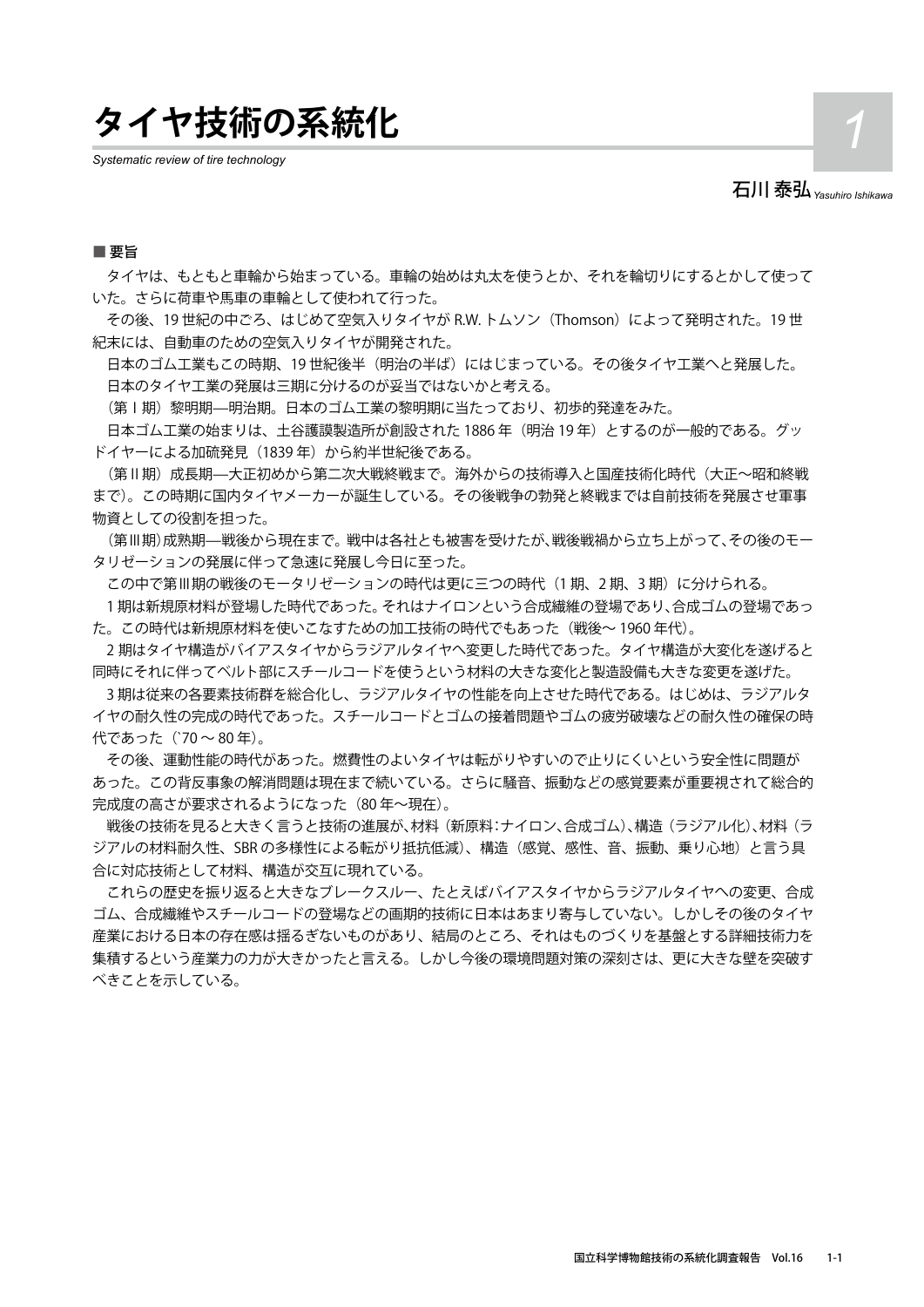**タイヤ技術の系統化** *1*

*Systematic review of tire technology*

石川 泰弘*Yasuhiro Ishikawa*

#### ■ 要旨

 タイヤは、もともと車輪から始まっている。車輪の始めは丸太を使うとか、それを輪切りにするとかして使って いた。さらに荷車や馬車の車輪として使われて行った。

その後、19世紀の中ごろ、はじめて空気入りタイヤが R.W. トムソン (Thomson) によって発明された。19世 紀末には、自動車のための空気入りタイヤが開発された。

日本のゴム工業もこの時期、19世紀後半(明治の半ば)にはじまっている。その後タイヤ工業へと発展した。 日本のタイヤ工業の発展は三期に分けるのが妥当ではないかと考える。

(第Ⅰ期)黎明期—明治期。日本のゴム工業の黎明期に当たっており、初歩的発達をみた。

日本ゴム工業の始まりは、土谷護謨製造所が創設された 1886 年(明治 19 年)とするのが一般的である。グッ ドイヤーによる加硫発見 (1839年)から約半世紀後である。

(第Ⅱ期)成長期—大正初めから第二次大戦終戦まで。海外からの技術導入と国産技術化時代(大正〜昭和終戦 まで)。この時期に国内タイヤメーカーが誕生している。その後戦争の勃発と終戦までは自前技術を発展させ軍事 物資としての役割を担った。

(第Ⅲ期)成熟期—戦後から現在まで。戦中は各社とも被害を受けたが、戦後戦禍から立ち上がって、その後のモー タリゼーションの発展に伴って急速に発展し今日に至った。

この中で第Ⅲ期の戦後のモータリゼーションの時代は更に三つの時代(1期、2期、3期)に分けられる。

 1 期は新規原材料が登場した時代であった。それはナイロンという合成繊維の登場であり、合成ゴムの登場であっ た。この時代は新規原材料を使いこなすための加工技術の時代でもあった(戦後〜 1960 年代)。

2 期はタイヤ構造がバイアスタイヤからラジアルタイヤへ変更した時代であった。タイヤ構造が大変化を遂げると 同時にそれに伴ってベルト部にスチールコードを使うという材料の大きな変化と製造設備も大きな変更を遂げた。

 3 期は従来の各要素技術群を総合化し、ラジアルタイヤの性能を向上させた時代である。はじめは、ラジアルタ イヤの耐久性の完成の時代であった。スチールコードとゴムの接着問題やゴムの疲労破壊などの耐久性の確保の時 代であった (`70~80年)。

 その後、運動性能の時代があった。燃費性のよいタイヤは転がりやすいので止りにくいという安全性に問題が あった。この背反事象の解消問題は現在まで続いている。さらに騒音、振動などの感覚要素が重要視されて総合的 完成度の高さが要求されるようになった(80 年〜現在)。

 戦後の技術を見ると大きく言うと技術の進展が、材料(新原料:ナイロン、合成ゴム)、構造(ラジアル化)、材料(ラ ジアルの材料耐久性、SBR の多様性による転がり抵抗低減)、構造(感覚、感性、音、振動、乗り心地)と言う具 合に対応技術として材料、構造が交互に現れている。

 これらの歴史を振り返ると大きなブレークスルー、たとえばバイアスタイヤからラジアルタイヤへの変更、合成 ゴム、合成繊維やスチールコードの登場などの画期的技術に日本はあまり寄与していない。しかしその後のタイヤ 産業における日本の存在感は揺るぎないものがあり、結局のところ、それはものづくりを基盤とする詳細技術力を 集積するという産業力の力が大きかったと言える。しかし今後の環境問題対策の深刻さは、更に大きな壁を突破す べきことを示している。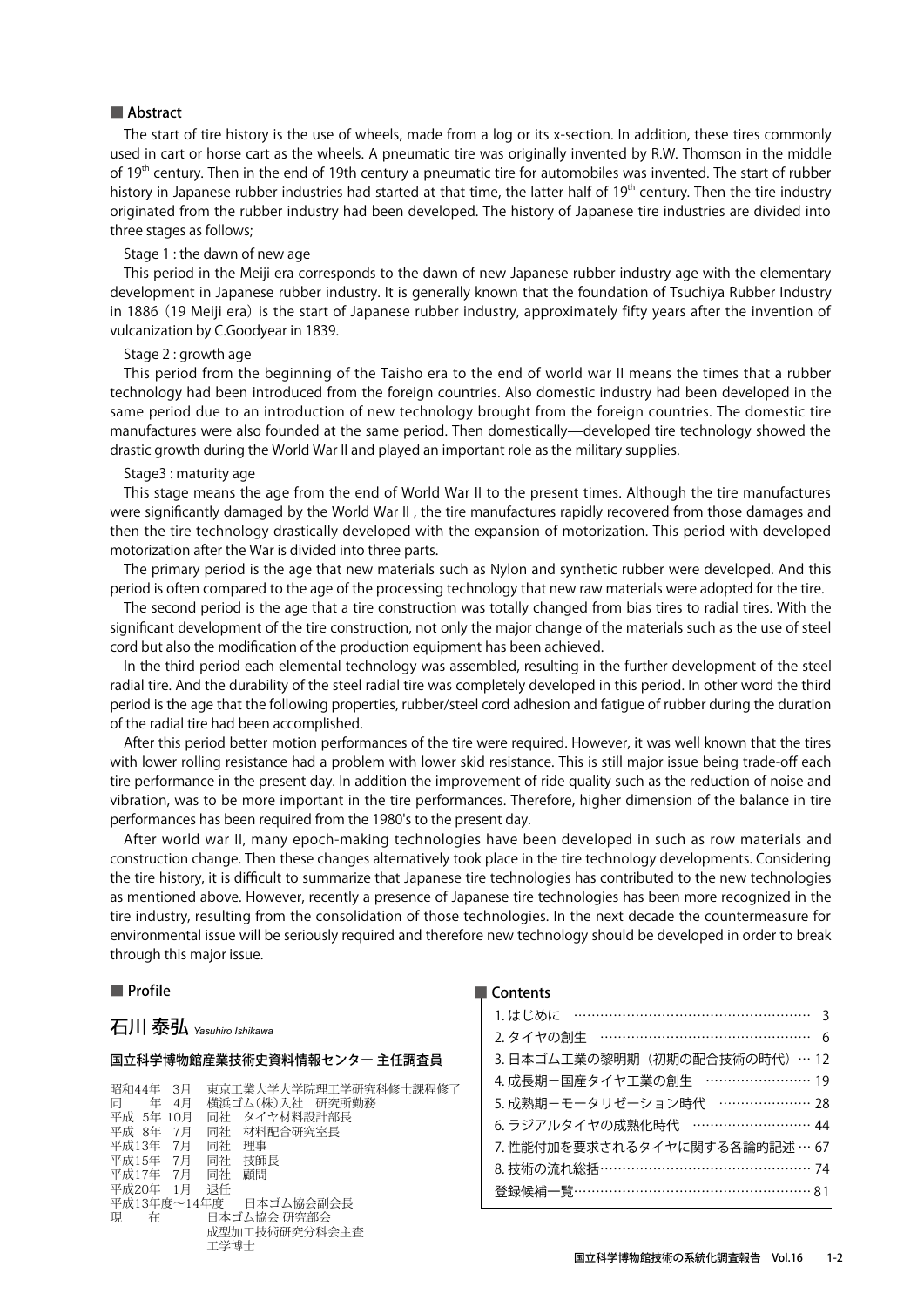The start of tire history is the use of wheels, made from a log or its x-section. In addition, these tires commonly used in cart or horse cart as the wheels. A pneumatic tire was originally invented by R.W. Thomson in the middle of 19<sup>th</sup> century. Then in the end of 19th century a pneumatic tire for automobiles was invented. The start of rubber history in Japanese rubber industries had started at that time, the latter half of 19<sup>th</sup> century. Then the tire industry originated from the rubber industry had been developed. The history of Japanese tire industries are divided into three stages as follows;

#### Stage 1 : the dawn of new age

This period in the Meiji era corresponds to the dawn of new Japanese rubber industry age with the elementary development in Japanese rubber industry. It is generally known that the foundation of Tsuchiya Rubber Industry in 1886 (19 Meiji era) is the start of Japanese rubber industry, approximately fifty years after the invention of vulcanization by C.Goodyear in 1839.

#### Stage 2 : growth age

This period from the beginning of the Taisho era to the end of world war II means the times that a rubber technology had been introduced from the foreign countries. Also domestic industry had been developed in the same period due to an introduction of new technology brought from the foreign countries. The domestic tire manufactures were also founded at the same period. Then domestically—developed tire technology showed the drastic growth during the World War II and played an important role as the military supplies.

#### Stage3 : maturity age

This stage means the age from the end of World War II to the present times. Although the tire manufactures were significantly damaged by the World War II , the tire manufactures rapidly recovered from those damages and then the tire technology drastically developed with the expansion of motorization. This period with developed motorization after the War is divided into three parts.

The primary period is the age that new materials such as Nylon and synthetic rubber were developed. And this period is often compared to the age of the processing technology that new raw materials were adopted for the tire.

The second period is the age that a tire construction was totally changed from bias tires to radial tires. With the significant development of the tire construction, not only the major change of the materials such as the use of steel cord but also the modification of the production equipment has been achieved.

In the third period each elemental technology was assembled, resulting in the further development of the steel radial tire. And the durability of the steel radial tire was completely developed in this period. In other word the third period is the age that the following properties, rubber/steel cord adhesion and fatigue of rubber during the duration of the radial tire had been accomplished.

After this period better motion performances of the tire were required. However, it was well known that the tires with lower rolling resistance had a problem with lower skid resistance. This is still major issue being trade-off each tire performance in the present day. In addition the improvement of ride quality such as the reduction of noise and vibration, was to be more important in the tire performances. Therefore, higher dimension of the balance in tire performances has been required from the 1980's to the present day.

After world war II, many epoch-making technologies have been developed in such as row materials and construction change. Then these changes alternatively took place in the tire technology developments. Considering the tire history, it is difficult to summarize that Japanese tire technologies has contributed to the new technologies as mentioned above. However, recently a presence of Japanese tire technologies has been more recognized in the tire industry, resulting from the consolidation of those technologies. In the next decade the countermeasure for environmental issue will be seriously required and therefore new technology should be developed in order to break through this major issue.

#### ■ Profile

## 石川 泰弘 *Yasuhiro Ishikawa*

#### 国立科学博物館産業技術史資料情報センター 主任調査員

昭和44年 3月 東京工業大学大学院理工学研究科修士課程修<mark>了</mark><br>同 年 4月 横浜ゴム(株)入社 研究所勤務 同 年 4月 横浜ゴム(株)入社 研究所勤務 -<br>平成 5年 10月 - 同社 タイヤ材料設計部長<br>平成 8年 7月 - 同社 材料配合研究室長 同社 材料配合研究室長<br>同社 理事 平成13年 7月 同社 理事<br>平成15年 7月 同社 技師長 平成15年 7月 同社 平成17年 7月 同社 顧問 平成20年 1月 退任 平成13年度~14年度<br>現 在 日本ゴム協会 研究部会 現 在 日本ゴム協会 研究部会 成型加工技術研究分科会主査 工学博士

| 1. はじめに ……………………………………………… 3  |
|-------------------------------|
| 2. タイヤの創牛 ………………………………………… 6  |
| 3.日本ゴム工業の黎明期(初期の配合技術の時代)… 12  |
| 4. 成長期-国産タイヤ工業の創生 …………………… 19 |
| 5. 成熟期-モータリゼーション時代 ………………… 28 |
| 6. ラジアルタイヤの成熟化時代 ……………………… 44 |
| 7. 性能付加を要求されるタイヤに関する各論的記述…67  |
| 8. 技術の流れ総括………………………………………… 74 |
| 登録候補一覧……………………………………………… 81   |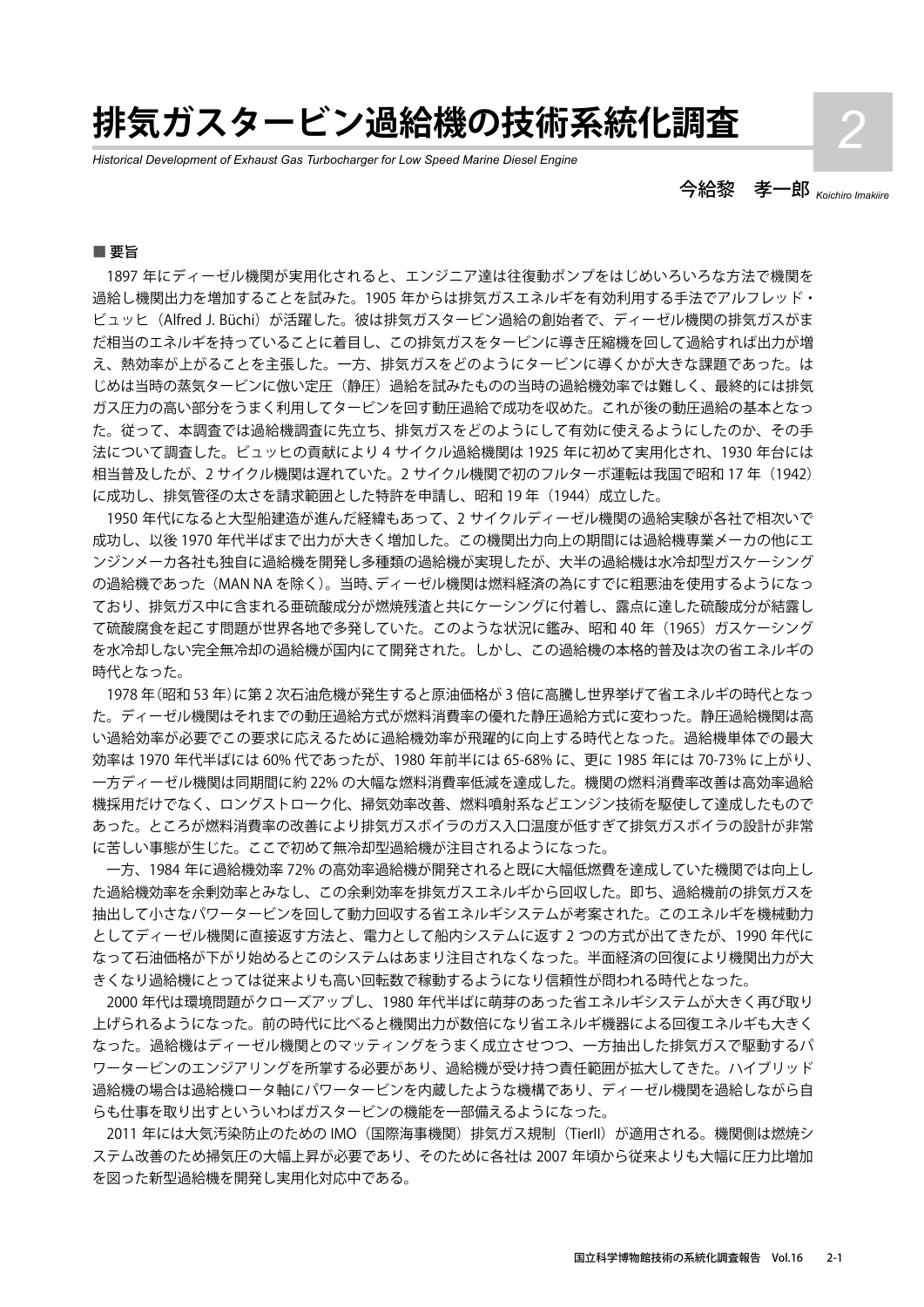# **排気ガスタービン過給機の技術系統化調査** *2*

*Historical Development of Exhaust Gas Turbocharger for Low Speed Marine Diesel Engine*

今給黎 孝一郎 *Koichiro Imakiire*

#### ■ 要旨

1897 年にディーゼル機関が実用化されると、エンジニア達は往復動ポンプをはじめいろいろな方法で機関を 過給し機関出力を増加することを試みた。1905 年からは排気ガスエネルギを有効利用する手法でアルフレッド・ ビュッヒ (Alfred J. Büchi) が活躍した。彼は排気ガスタービン過給の創始者で、ディーゼル機関の排気ガスがま だ相当のエネルギを持っていることに着目し、この排気ガスをタービンに導き圧縮機を回して過給すれば出力が増 え、熱効率が上がることを主張した。一方、排気ガスをどのようにタービンに導くかが大きな課題であった。は じめは当時の蒸気タービンに倣い定圧(静圧)過給を試みたものの当時の過給機効率では難しく、最終的には排気 ガス圧力の高い部分をうまく利用してタービンを回す動圧過給で成功を収めた。これが後の動圧過給の基本となっ た。従って、本調査では過給機調査に先立ち、排気ガスをどのようにして有効に使えるようにしたのか、その手 法について調査した。ビュッヒの貢献により 4 サイクル過給機関は 1925 年に初めて実用化され、1930 年台には 相当普及したが、2 サイクル機関は遅れていた。2 サイクル機関で初のフルターボ運転は我国で昭和 17 年 (1942) に成功し、排気管径の太さを請求範囲とした特許を申請し、昭和19年 (1944)成立した。

1950 年代になると大型船建造が進んだ経緯もあって、2 サイクルディーゼル機関の過給実験が各社で相次いで 成功し、以後 1970 年代半ばまで出力が大きく増加した。この機関出力向上の期間には過給機専業メーカの他にエ ンジンメーカ各社も独自に過給機を開発し多種類の過給機が実現したが、大半の過給機は水冷却型ガスケーシング の過給機であった(MAN NA を除く)。当時、ディーゼル機関は燃料経済の為にすでに粗悪油を使用するようになっ ており、排気ガス中に含まれる亜硫酸成分が燃焼残渣と共にケーシングに付着し、露点に達した硫酸成分が結露し て硫酸腐食を起こす問題が世界各地で多発していた。このような状況に鑑み、昭和 40 年(1965)ガスケーシング を水冷却しない完全無冷却の過給機が国内にて開発された。しかし、この過給機の本格的普及は次の省エネルギの 時代となった。

1978 年(昭和 53 年)に第 2 次石油危機が発生すると原油価格が 3 倍に高騰し世界挙げて省エネルギの時代となっ た。ディーゼル機関はそれまでの動圧過給方式が燃料消費率の優れた静圧過給方式に変わった。静圧過給機関は高 い過給効率が必要でこの要求に応えるために過給機効率が飛躍的に向上する時代となった。過給機単体での最大 効率は 1970 年代半ばには 60% 代であったが、1980 年前半には 65-68% に、更に 1985 年には 70-73% に上がり、 一方ディーゼル機関は同期間に約 22% の大幅な燃料消費率低減を達成した。機関の燃料消費率改善は高効率過給 機採用だけでなく、ロングストローク化、掃気効率改善、燃料噴射系などエンジン技術を駆使して達成したもので あった。ところが燃料消費率の改善により排気ガスボイラのガス入口温度が低すぎて排気ガスボイラの設計が非常 に苦しい事態が生じた。ここで初めて無冷却型過給機が注目されるようになった。

一方、1984 年に過給機効率 72% の高効率過給機が開発されると既に大幅低燃費を達成していた機関では向上し た過給機効率を余剰効率とみなし、この余剰効率を排気ガスエネルギから回収した。即ち、過給機前の排気ガスを 抽出して小さなパワータービンを回して動力回収する省エネルギシステムが考案された。このエネルギを機械動力 としてディーゼル機関に直接返す方法と、電力として船内システムに返す 2 つの方式が出てきたが、1990 年代に なって石油価格が下がり始めるとこのシステムはあまり注目されなくなった。半面経済の回復により機関出力が大 きくなり過給機にとっては従来よりも高い回転数で稼動するようになり信頼性が問われる時代となった。

2000 年代は環境問題がクローズアップし、1980 年代半ばに萌芽のあった省エネルギシステムが大きく再び取り 上げられるようになった。前の時代に比べると機関出力が数倍になり省エネルギ機器による回復エネルギも大きく なった。過給機はディーゼル機関とのマッティングをうまく成立させつつ、一方抽出した排気ガスで駆動するパ ワータービンのエンジアリングを所掌する必要があり、過給機が受け持つ責任範囲が拡大してきた。ハイブリッド 過給機の場合は過給機ロータ軸にパワータービンを内蔵したような機構であり、ディーゼル機関を過給しながら自 らも仕事を取り出すといういわばガスタービンの機能を一部備えるようになった。

2011 年には大気汚染防止のための IMO (国際海事機関) 排気ガス規制 (Tierll) が適用される。機関側は燃焼シ ステム改善のため掃気圧の大幅上昇が必要であり、そのために各社は 2007 年頃から従来よりも大幅に圧力比増加 を図った新型過給機を開発し実用化対応中である。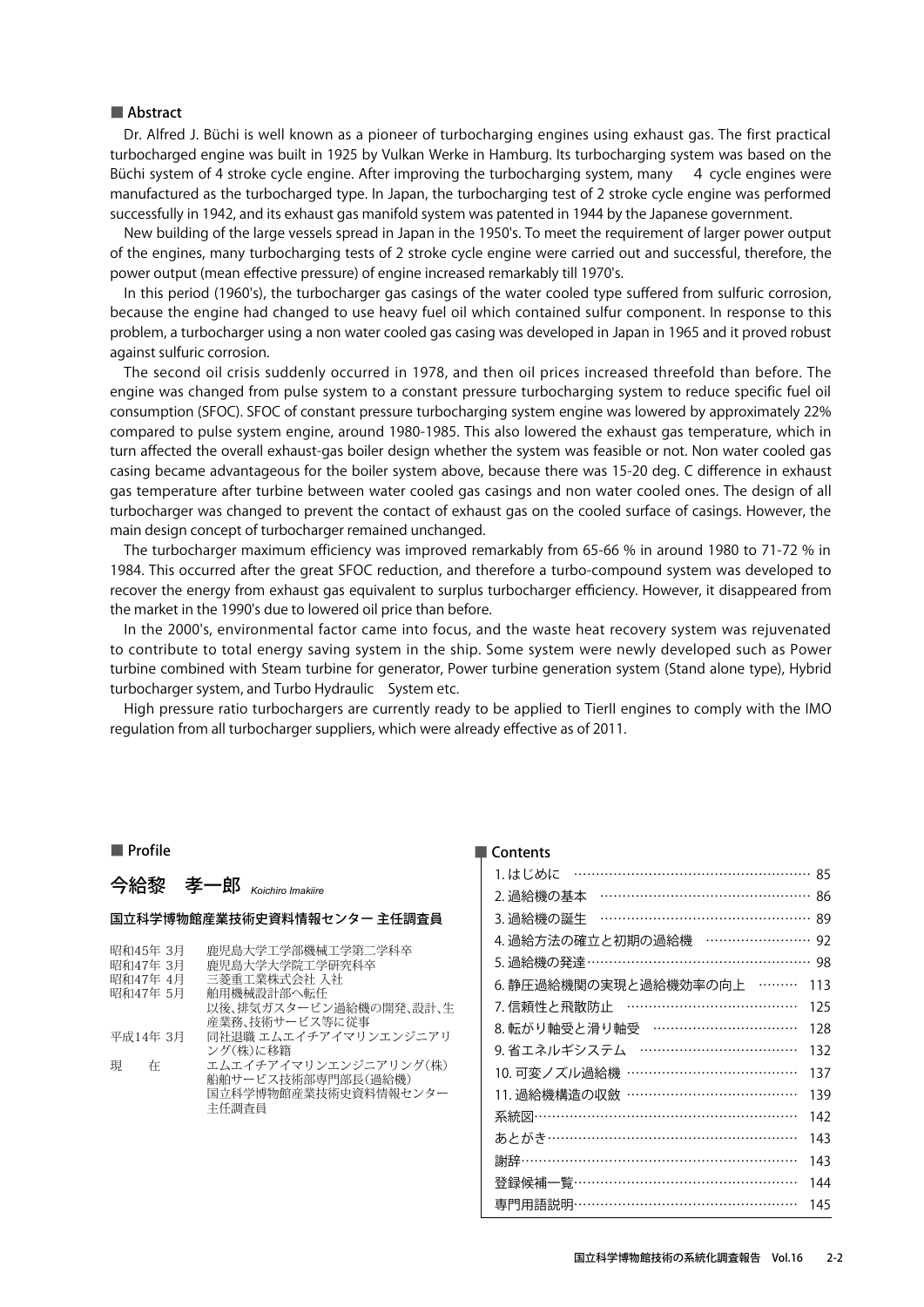Dr. Alfred J. Büchi is well known as a pioneer of turbocharging engines using exhaust gas. The first practical turbocharged engine was built in 1925 by Vulkan Werke in Hamburg. Its turbocharging system was based on the Büchi system of 4 stroke cycle engine. After improving the turbocharging system, many 4 cycle engines were manufactured as the turbocharged type. In Japan, the turbocharging test of 2 stroke cycle engine was performed successfully in 1942, and its exhaust gas manifold system was patented in 1944 by the Japanese government.

New building of the large vessels spread in Japan in the 1950's. To meet the requirement of larger power output of the engines, many turbocharging tests of 2 stroke cycle engine were carried out and successful, therefore, the power output (mean effective pressure) of engine increased remarkably till 1970's.

In this period (1960's), the turbocharger gas casings of the water cooled type suffered from sulfuric corrosion, because the engine had changed to use heavy fuel oil which contained sulfur component. In response to this problem, a turbocharger using a non water cooled gas casing was developed in Japan in 1965 and it proved robust against sulfuric corrosion.

The second oil crisis suddenly occurred in 1978, and then oil prices increased threefold than before. The engine was changed from pulse system to a constant pressure turbocharging system to reduce specific fuel oil consumption (SFOC). SFOC of constant pressure turbocharging system engine was lowered by approximately 22% compared to pulse system engine, around 1980-1985. This also lowered the exhaust gas temperature, which in turn affected the overall exhaust-gas boiler design whether the system was feasible or not. Non water cooled gas casing became advantageous for the boiler system above, because there was 15-20 deg. C difference in exhaust gas temperature after turbine between water cooled gas casings and non water cooled ones. The design of all turbocharger was changed to prevent the contact of exhaust gas on the cooled surface of casings. However, the main design concept of turbocharger remained unchanged.

The turbocharger maximum efficiency was improved remarkably from 65-66 % in around 1980 to 71-72 % in 1984. This occurred after the great SFOC reduction, and therefore a turbo-compound system was developed to recover the energy from exhaust gas equivalent to surplus turbocharger efficiency. However, it disappeared from the market in the 1990's due to lowered oil price than before.

In the 2000's, environmental factor came into focus, and the waste heat recovery system was rejuvenated to contribute to total energy saving system in the ship. Some system were newly developed such as Power turbine combined with Steam turbine for generator, Power turbine generation system (Stand alone type), Hybrid turbocharger system, and Turbo Hydraulic System etc.

High pressure ratio turbochargers are currently ready to be applied to TierII engines to comply with the IMO regulation from all turbocharger suppliers, which were already effective as of 2011.

#### ■ Profile

## 今給黎 孝一郎 *Koichiro Imakiire*

#### 国立科学博物館産業技術史資料情報センター 主任調査員

| 昭和45年 3月 | 鹿児鳥大学工学部機械工学第二学科卒      |
|----------|------------------------|
| 昭和47年 3月 | 鹿児鳥大学大学院工学研究科卒         |
| 昭和47年 4月 | 三菱重工業株式会社 入社           |
| 昭和47年 5月 | 舶用機械設計部へ転任             |
|          | 以後、排気ガスタービン渦給機の開発、設計、牛 |
|          | 産業務、技術サービス等に従事         |
| 平成14年 3月 | 同社退職 エムエイチアイマリンエンジニアリ  |
|          | ング(株)に移籍               |
| 珼<br>在   | エムエイチアイマリンエンジニアリング(株)  |
|          | 船舶サービス技術部専門部長(渦給機)     |
|          | 国立科学博物館産業技術史資料情報センター   |
|          | 主任調杳員                  |
|          |                        |

| 1. はじめに                     | 85  |
|-----------------------------|-----|
| 2. 過給機の基本                   | 86  |
| 3. 過給機の誕生                   | 89  |
| 4. 過給方法の確立と初期の過給機 ……………………  | 92  |
| 5. 過給機の発達 …………………………………………… | 98  |
| 6. 静圧過給機関の実現と過給機効率の向上 ………   | 113 |
| 7. 信頼性と飛散防止                 | 125 |
| 8.転がり軸受と滑り軸受 ……………………………    | 128 |
| 9.省エネルギシステム                 | 132 |
| 10. 可変ノズル過給機 ………………………………   | 137 |
| 11. 過給機構造の収斂 …………………………………  | 139 |
| 系統図…………………………………………………      | 142 |
| あとがき………………………………………………      | 143 |
| 謝辞………………………………………………………     | 143 |
| 登録候補一覧 ……………………………………………    | 144 |
| 専門用語説明…………………………………………      | 145 |
|                             |     |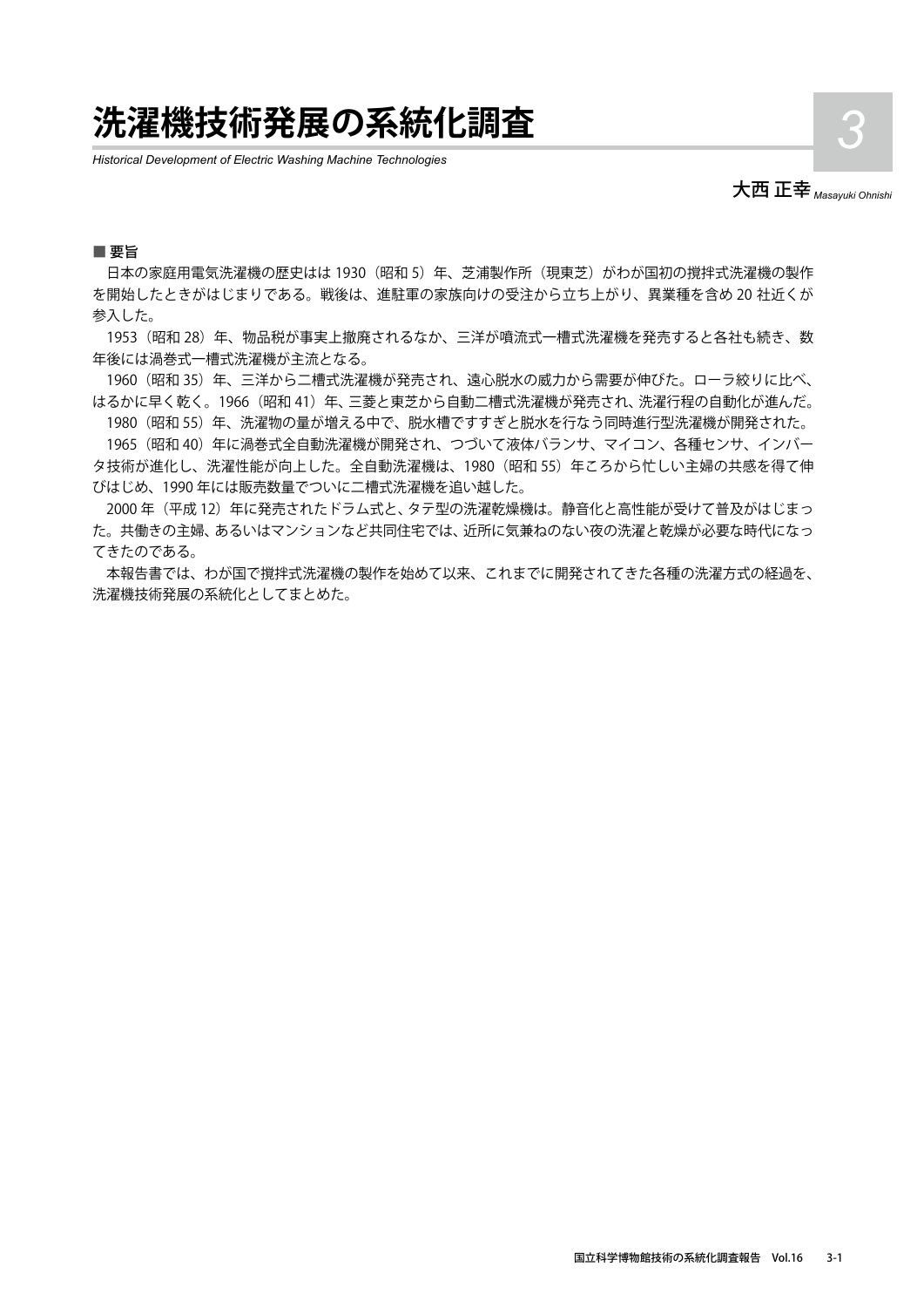## **洗濯機技術発展の系統化調査** *3*

*Historical Development of Electric Washing Machine Technologies*



#### ■ 要旨

日本の家庭用電気洗濯機の歴史はは 1930 (昭和 5) 年、芝浦製作所 (現東芝) がわが国初の撹拌式洗濯機の製作 を開始したときがはじまりである。戦後は、進駐軍の家族向けの受注から立ち上がり、異業種を含め 20 社近くが 参入した。

1953 (昭和 28) 年、物品税が事実上撤廃されるなか、三洋が噴流式一槽式洗濯機を発売すると各社も続き、数 年後には渦巻式一槽式洗濯機が主流となる。

1960 (昭和 35) 年、三洋から二槽式洗濯機が発売され、遠心脱水の威力から需要が伸びた。ローラ絞りに比べ、 はるかに早く乾く。1966 (昭和 41) 年、三菱と東芝から自動二槽式洗濯機が発売され、洗濯行程の自動化が進んだ。

1980 (昭和 55) 年、洗濯物の量が増える中で、脱水槽ですすぎと脱水を行なう同時進行型洗濯機が開発された。

1965 (昭和 40) 年に渦巻式全自動洗濯機が開発され、つづいて液体バランサ、マイコン、各種センサ、インバー タ技術が進化し、洗濯性能が向上した。全自動洗濯機は、1980(昭和 55)年ころから忙しい主婦の共感を得て伸 びはじめ、1990 年には販売数量でついに二槽式洗濯機を追い越した。

2000 年(平成 12)年に発売されたドラム式と、タテ型の洗濯乾燥機は。静音化と高性能が受けて普及がはじまっ た。共働きの主婦、あるいはマンションなど共同住宅では、近所に気兼ねのない夜の洗濯と乾燥が必要な時代になっ てきたのである。

本報告書では、わが国で撹拌式洗濯機の製作を始めて以来、これまでに開発されてきた各種の洗濯方式の経過を、 洗濯機技術発展の系統化としてまとめた。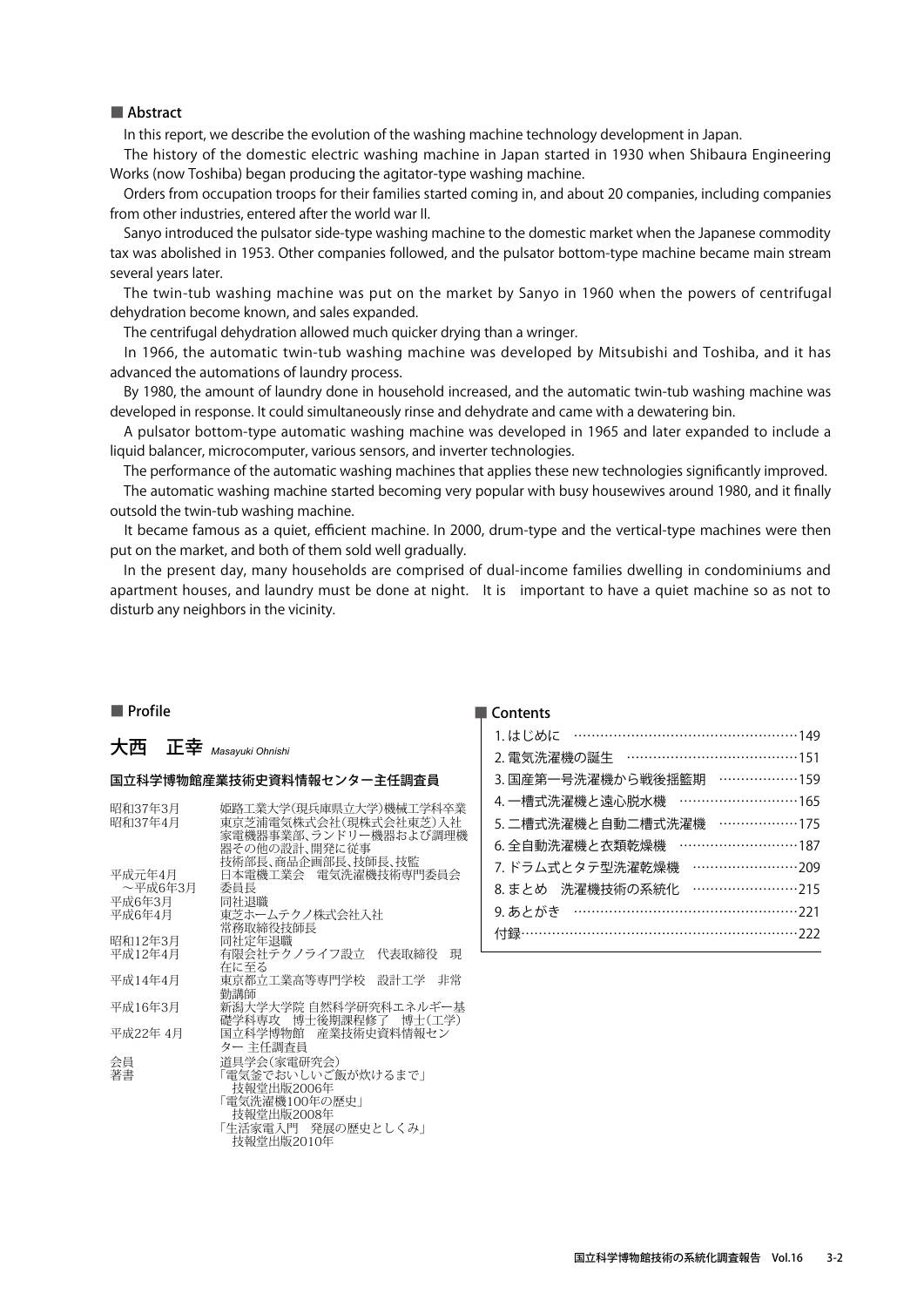In this report, we describe the evolution of the washing machine technology development in Japan.

The history of the domestic electric washing machine in Japan started in 1930 when Shibaura Engineering Works (now Toshiba) began producing the agitator-type washing machine.

Orders from occupation troops for their families started coming in, and about 20 companies, including companies from other industries, entered after the world war II.

Sanyo introduced the pulsator side-type washing machine to the domestic market when the Japanese commodity tax was abolished in 1953. Other companies followed, and the pulsator bottom-type machine became main stream several years later.

The twin-tub washing machine was put on the market by Sanyo in 1960 when the powers of centrifugal dehydration become known, and sales expanded.

The centrifugal dehydration allowed much quicker drying than a wringer.

In 1966, the automatic twin-tub washing machine was developed by Mitsubishi and Toshiba, and it has advanced the automations of laundry process.

By 1980, the amount of laundry done in household increased, and the automatic twin-tub washing machine was developed in response. It could simultaneously rinse and dehydrate and came with a dewatering bin.

A pulsator bottom-type automatic washing machine was developed in 1965 and later expanded to include a liquid balancer, microcomputer, various sensors, and inverter technologies.

The performance of the automatic washing machines that applies these new technologies significantly improved.

The automatic washing machine started becoming very popular with busy housewives around 1980, and it finally outsold the twin-tub washing machine.

It became famous as a quiet, efficient machine. In 2000, drum-type and the vertical-type machines were then put on the market, and both of them sold well gradually.

In the present day, many households are comprised of dual-income families dwelling in condominiums and apartment houses, and laundry must be done at night. It is important to have a quiet machine so as not to disturb any neighbors in the vicinity.

### ■ Profile

### 大西 正幸 *Masayuki Ohnishi*

#### 国立科学博物館産業技術史資料情報センター主任調査員

| 昭和37年3月  | 姫路工業大学(現兵庫県立大学)機械工学科卒業     |
|----------|----------------------------|
| 昭和37年4月  | 東京芝浦電気株式会社(現株式会社東芝)入社      |
|          | 家電機器事業部、ランドリー機器および調理機      |
|          | 器その他の設計、開発に従事              |
|          | 技術部長、商品企画部長、技師長、技監         |
| 平成元年4月   | 日本電機工業会 電気洗濯機技術専門委員会       |
|          |                            |
| ~平成6年3月  | 委員長                        |
| 平成6年3月   | 同社退職                       |
| 平成6年4月   | 東芝ホームテクノ株式会社入社             |
|          | 常務取締役技師長                   |
| 昭和12年3月  | 同社定年退職                     |
| 平成12年4月  | 有限会社テクノライフ設立<br>代表取締役<br>現 |
|          | 在に至る                       |
| 平成14年4月  | 東京都立工業高等専門学校<br>設計工学<br>非常 |
|          | 勤講師                        |
| 平成16年3月  | 新潟大学大学院 自然科学研究科エネルギー基      |
|          | 礎学科専攻 博士後期課程修了 博士(工学)      |
| 平成22年 4月 | 国立科学博物館 産業技術史資料情報セン        |
|          |                            |
|          | ター 主任調査員                   |
| 会員       | 道具学会(家電研究会)                |
| 著書       | 「雷気釜でおいしいご飯が炊けるまで」         |
|          | 技報堂出版2006年                 |
|          | 「電気洗濯機100年の歴史」             |
|          | 技報堂出版2008年                 |
|          | 「生活家電入門 発展の歴史としくみ」         |
|          | 技報堂出版2010年                 |
|          |                            |

| 1.はじめに …………………………………………149                                                               |
|------------------------------------------------------------------------------------------|
| 2. 電気洗濯機の誕生 …………………………………151                                                             |
| 3. 国産第一号洗濯機から戦後揺籃期 ………………159                                                             |
| 4. 一槽式洗濯機と遠心脱水機 ………………………165                                                             |
| 5. 二槽式洗濯機と自動二槽式洗濯機 ………………175                                                             |
| 6. 全自動洗濯機と衣類乾燥機 ………………………187                                                             |
| 7. ドラム式とタテ型洗濯乾燥機                                                                         |
| $\cdots \cdots \cdots \cdots \cdots \cdots \cdots \cdots \cdots 215$<br>8. まとめ 洗濯機技術の系統化 |
|                                                                                          |
|                                                                                          |
|                                                                                          |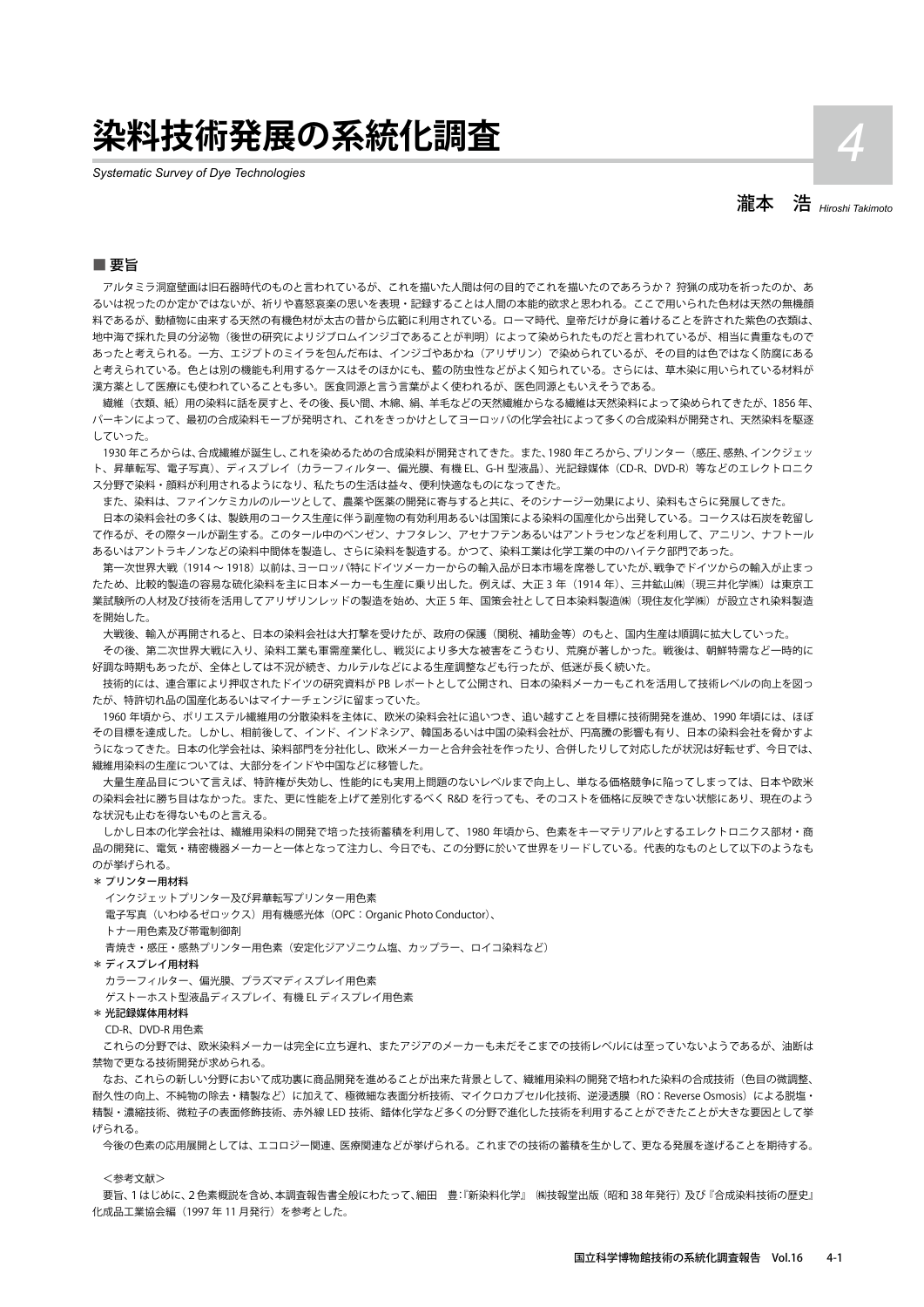## **染料技術発展の系統化調査** *4*

*Systematic Survey of Dye Technologies*

瀧本 浩 *Hiroshi Takimoto*

#### ■ 要旨

アルタミラ洞窟壁画は旧石器時代のものと言われているが、これを描いた人間は何の目的でこれを描いたのであろうか? 狩猟の成功を祈ったのか、あ るいは祝ったのか定かではないが、祈りや喜怒哀楽の思いを表現・記録することは人間の本能的欲求と思われる。ここで用いられた色材は天然の無機顔 料であるが、動植物に由来する天然の有機色材が太古の昔から広範に利用されている。ローマ時代、皇帝だけが身に着けることを許された紫色の衣類は、 地中海で採れた目の分泌物(後世の研究によりジブロムインジゴであることが判明)によって染められたものだと言われているが、相当に貴重なもので あったと考えられる。一方、エジプトのミイラを包んだ布は、インジゴやあかね(アリザリン)で染められているが、その目的は色ではなく防腐にある と考えられている。色とは別の機能も利用するケースはそのほかにも、藍の防虫性などがよく知られている。さらには、草木染に用いられている材料が 漢方薬として医療にも使われていることも多い。医食同源と言う言葉がよく使われるが、医色同源ともいえそうである。

繊維(衣類、紙)用の染料に話を戻すと、その後、長い間、木綿、絹、羊毛などの天然繊維からなる繊維は天然染料によって染められてきたが、1856 年、 パーキンによって、最初の合成染料モーブが発明され、これをきっかけとしてヨーロッパの化学会社によって多くの合成染料が開発され、天然染料を駆逐 していった。

1930 年ころからは、合成繊維が誕生し、これを染めるための合成染料が開発されてきた。また、1980 年ころから、プリンター(感圧、感熱、インクジェッ ト、昇華転写、電子写真)、ディスプレイ(カラーフィルター、偏光膜、有機 EL、G-H 型液晶)、光記録媒体(CD-R、DVD-R)等などのエレクトロニク ス分野で染料・顔料が利用されるようになり、私たちの生活は益々、便利快適なものになってきた。

また、染料は、ファインケミカルのルーツとして、農薬や医薬の開発に寄与すると共に、そのシナージー効果により、染料もさらに発展してきた。 日本の染料会社の多くは、製鉄用のコークス生産に伴う副産物の有効利用あるいは国策による染料の国産化から出発している。コークスは石炭を乾留し て作るが、その際タールが副生する。このタール中のベンゼン、ナフタレン、アセナフテンあるいはアントラセンなどを利用して、アニリン、ナフトール あるいはアントラキノンなどの染料中間体を製造し、さらに染料を製造する。かつて、染料工業は化学工業の中のハイテク部門であった。

第一次世界大戦(1914~1918)以前は、ヨーロッパ特にドイツメーカーからの輸入品が日本市場を席巻していたが、戦争でドイツからの輸入が止まっ たため、比較的製造の容易な硫化染料を主に日本メーカーも生産に乗り出した。例えば、大正 3 年 (1914 年)、三井鉱山㈱ (現三井化学㈱) は東京工 業試験所の人材及び技術を活用してアリザリンレッドの製造を始め、大正 5 年、国策会社として日本染料製造㈱(現住友化学㈱)が設立され染料製造 を開始した。

大戦後、輸入が再開されると、日本の染料会社は大打撃を受けたが、政府の保護(関税、補助金等)のもと、国内生産は順調に拡大していった。 その後、第二次世界大戦に入り、染料工業も軍需産業化し、戦災により多大な被害をこうむり、荒廃が著しかった。戦後は、朝鮮特需など一時的に

好調な時期もあったが、全体としては不況が続き、カルテルなどによる生産調整なども行ったが、低迷が長く続いた。 技術的には、連合軍により押収されたドイツの研究資料が PB レポートとして公開され、日本の染料メーカーもこれを活用して技術レベルの向上を図っ たが、特許切れ品の国産化あるいはマイナーチェンジに留まっていた。

1960 年頃から、ポリエステル繊維用の分散染料を主体に、欧米の染料会社に追いつき、追い越すことを目標に技術開発を進め、1990 年頃には、ほぼ その目標を達成した。しかし、相前後して、インド、インドネシア、韓国あるいは中国の染料会社が、円高騰の影響も有り、日本の染料会社を脅かすよ うになってきた。日本の化学会社は、染料部門を分社化し、欧米メーカーと合弁会社を作ったり、合併したりして対応したが状況は好転せず、今日では、 繊維用染料の生産については、大部分をインドや中国などに移管した。

大量生産品目について言えば、特許権が失効し、性能的にも実用上問題のないレベルまで向上し、単なる価格競争に陥ってしまっては、日本や欧米 の染料会社に勝ち目はなかった。また、更に性能を上げて差別化するべく R&D を行っても、そのコストを価格に反映できない状態にあり、現在のよう な状況も止むを得ないものと言える。

しかし日本の化学会社は、繊維用染料の開発で培った技術蓄積を利用して、1980 年頃から、色素をキーマテリアルとするエレクトロニクス部材・商 品の開発に、電気・精密機器メーカーと一体となって注力し、今日でも、この分野に於いて世界をリードしている。代表的なものとして以下のようなも のが挙げられる。

#### \* プリンター用材料

 インクジェットプリンター及び昇華転写プリンター用色素 電子写真(いわゆるゼロックス)用有機感光体(OPC:Organic Photo Conductor)、 トナー用色素及び帯電制御剤 青焼き・感圧・感熱プリンター用色素(安定化ジアゾニウム塩、カップラー、ロイコ染料など)

\* ディスプレイ用材料

カラーフィルター、偏光膜、プラズマディスプレイ用色素

ゲストーホスト型液晶ディスプレイ、有機 EL ディスプレイ用色素

\* 光記録媒体用材料

CD-R、DVD-R 用色素

これらの分野では、欧米染料メーカーは完全に立ち遅れ、またアジアのメーカーも未だそこまでの技術レベルには至っていないようであるが、油断は 禁物で更なる技術開発が求められる。

なお、これらの新しい分野において成功裏に商品開発を進めることが出来た背景として、繊維用染料の開発で培われた染料の合成技術(色目の微調整、 耐久性の向上、不純物の除去·精製など)に加えて、極微細な表面分析技術、マイクロカプセル化技術、逆浸透膜 (RO:Reverse Osmosis) による脱塩· 精製・濃縮技術、微粒子の表面修飾技術、赤外線 LED 技術、錯体化学など多くの分野で進化した技術を利用することができたことが大きな要因として挙 げられる。

今後の色素の応用展開としては、エコロジー関連、医療関連などが挙げられる。これまでの技術の蓄積を生かして、更なる発展を遂げることを期待する。

#### <参考文献>

要旨、1はじめに、2色素概説を含め、本調査報告書全般にわたって、細田 豊:『新染料化学』 ㈱技報堂出版(昭和 38 年発行)及び『合成染料技術の歴史』 化成品工業協会編(1997 年 11 月発行)を参考とした。